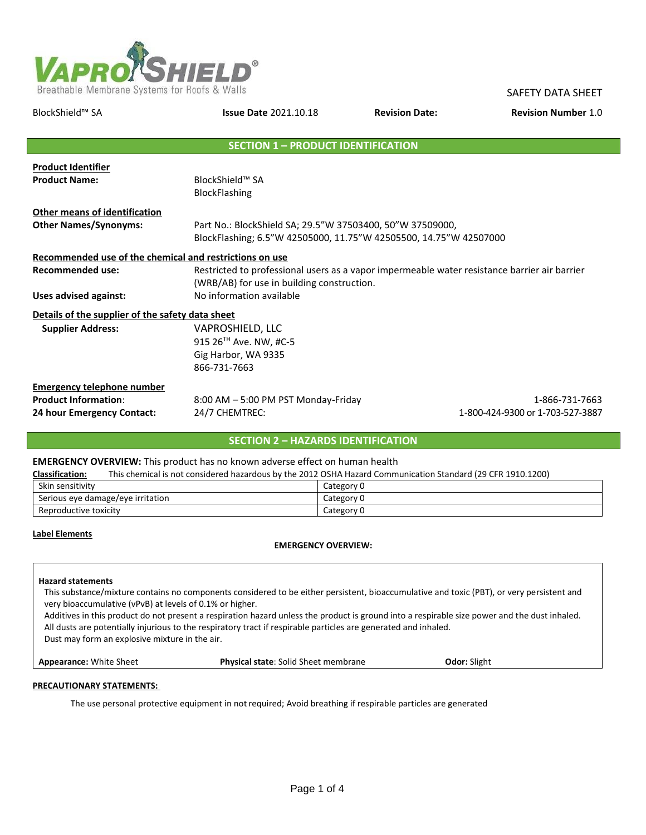

| BlockShield™ SA                                         | <b>Issue Date 2021.10.18</b>                                                                 |  | <b>Revision Number 1.0</b>       |
|---------------------------------------------------------|----------------------------------------------------------------------------------------------|--|----------------------------------|
|                                                         |                                                                                              |  |                                  |
|                                                         | <b>SECTION 1 - PRODUCT IDENTIFICATION</b>                                                    |  |                                  |
| <b>Product Identifier</b>                               |                                                                                              |  |                                  |
| <b>Product Name:</b>                                    | BlockShield™ SA                                                                              |  |                                  |
|                                                         | <b>BlockFlashing</b>                                                                         |  |                                  |
| <b>Other means of identification</b>                    |                                                                                              |  |                                  |
| <b>Other Names/Synonyms:</b>                            | Part No.: BlockShield SA; 29.5"W 37503400, 50"W 37509000,                                    |  |                                  |
|                                                         | BlockFlashing; 6.5"W 42505000, 11.75"W 42505500, 14.75"W 42507000                            |  |                                  |
| Recommended use of the chemical and restrictions on use |                                                                                              |  |                                  |
| <b>Recommended use:</b>                                 | Restricted to professional users as a vapor impermeable water resistance barrier air barrier |  |                                  |
|                                                         | (WRB/AB) for use in building construction.                                                   |  |                                  |
| Uses advised against:                                   | No information available                                                                     |  |                                  |
| Details of the supplier of the safety data sheet        |                                                                                              |  |                                  |
| <b>Supplier Address:</b>                                | VAPROSHIELD, LLC                                                                             |  |                                  |
|                                                         | 915 26 <sup>TH</sup> Ave. NW, #C-5                                                           |  |                                  |
|                                                         | Gig Harbor, WA 9335                                                                          |  |                                  |
|                                                         | 866-731-7663                                                                                 |  |                                  |
| <b>Emergency telephone number</b>                       |                                                                                              |  |                                  |
| <b>Product Information:</b>                             | 8:00 AM - 5:00 PM PST Monday-Friday                                                          |  | 1-866-731-7663                   |
| 24 hour Emergency Contact:                              | 24/7 CHEMTREC:                                                                               |  | 1-800-424-9300 or 1-703-527-3887 |

# **SECTION 2 – HAZARDS IDENTIFICATION**

### **EMERGENCY OVERVIEW:** This product has no known adverse effect on human health

| <b>Classification:</b>            | This chemical is not considered hazardous by the 2012 OSHA Hazard Communication Standard (29 CFR 1910.1200) |
|-----------------------------------|-------------------------------------------------------------------------------------------------------------|
| Skin sensitivity                  | Category 0                                                                                                  |
| Serious eye damage/eye irritation | Category 0                                                                                                  |
| Reproductive toxicity             | Category 0                                                                                                  |

### **Label Elements**

## **EMERGENCY OVERVIEW:**

#### **Hazard statements**

This substance/mixture contains no components considered to be either persistent, bioaccumulative and toxic (PBT), or very persistent and very bioaccumulative (vPvB) at levels of 0.1% or higher.

Additives in this product do not present a respiration hazard unless the product is ground into a respirable size power and the dust inhaled. All dusts are potentially injurious to the respiratory tract if respirable particles are generated and inhaled. Dust may form an explosive mixture in the air.

**Appearance:** White Sheet **Physical state**: Solid Sheet membrane **Odor:** Slight

### **PRECAUTIONARY STATEMENTS:**

The use personal protective equipment in notrequired; Avoid breathing if respirable particles are generated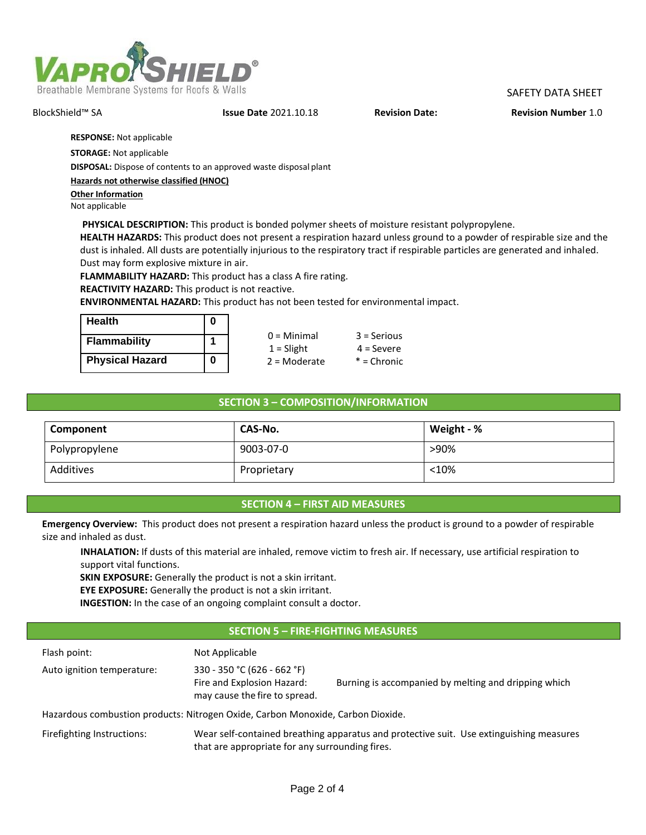

## BlockShield™ SA **Issue Date** 2021.10.18 **Revision Date: Revision Number** 1.0

**RESPONSE:** Not applicable

**STORAGE:** Not applicable

**DISPOSAL:** Dispose of contents to an approved waste disposal plant

**Hazards not otherwise classified (HNOC)**

**Other Information** Not applicable

**PHYSICAL DESCRIPTION:** This product is bonded polymer sheets of moisture resistant polypropylene.

**HEALTH HAZARDS:** This product does not present a respiration hazard unless ground to a powder of respirable size and the dust is inhaled. All dusts are potentially injurious to the respiratory tract if respirable particles are generated and inhaled. Dust may form explosive mixture in air.

**FLAMMABILITY HAZARD:** This product has a class A fire rating.

**REACTIVITY HAZARD:** This product is not reactive.

**ENVIRONMENTAL HAZARD:** This product has not been tested for environmental impact.

| <b>Health</b>          |  |
|------------------------|--|
| <b>Flammability</b>    |  |
| <b>Physical Hazard</b> |  |

| $0 =$ Minimal  | $3 =$ Serious |
|----------------|---------------|
| $1 =$ Slight   | $4 =$ Severe  |
| $2 =$ Moderate | $*$ = Chronic |
|                |               |

# **SECTION 3 – COMPOSITION/INFORMATION**

| Component     | CAS-No.     | Weight - % |
|---------------|-------------|------------|
| Polypropylene | 9003-07-0   | >90%       |
| Additives     | Proprietary | < 10%      |

## **SECTION 4 – FIRST AID MEASURES**

**Emergency Overview:** This product does not present a respiration hazard unless the product is ground to a powder of respirable size and inhaled as dust.

**INHALATION:** If dusts of this material are inhaled, remove victim to fresh air. If necessary, use artificial respiration to support vital functions.

**SKIN EXPOSURE:** Generally the product is not a skin irritant.

**EYE EXPOSURE:** Generally the product is not a skin irritant.

**INGESTION:** In the case of an ongoing complaint consult a doctor.

# **SECTION 5 – FIRE-FIGHTING MEASURES**

| Flash point:                                                                    | Not Applicable                                                                                                                             |                                                      |  |  |
|---------------------------------------------------------------------------------|--------------------------------------------------------------------------------------------------------------------------------------------|------------------------------------------------------|--|--|
| Auto ignition temperature:                                                      | 330 - 350 °C (626 - 662 °F)<br>Fire and Explosion Hazard:<br>may cause the fire to spread.                                                 | Burning is accompanied by melting and dripping which |  |  |
| Hazardous combustion products: Nitrogen Oxide, Carbon Monoxide, Carbon Dioxide. |                                                                                                                                            |                                                      |  |  |
| Firefighting Instructions:                                                      | Wear self-contained breathing apparatus and protective suit. Use extinguishing measures<br>that are appropriate for any surrounding fires. |                                                      |  |  |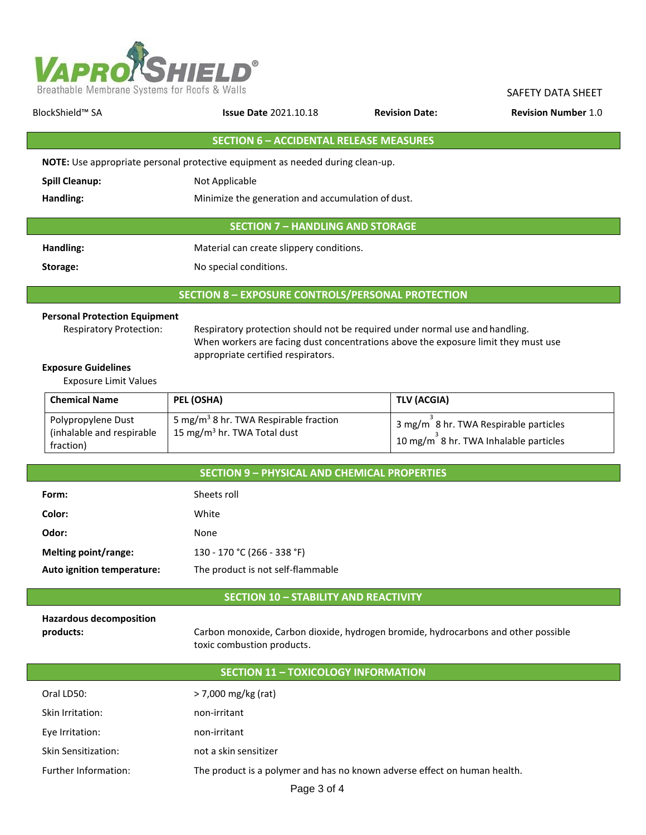

| BlockShield™ SA<br><b>Issue Date 2021.10.18</b>                                       |                                                   | <b>Revision Date:</b> | <b>Revision Number 1.0</b> |  |  |
|---------------------------------------------------------------------------------------|---------------------------------------------------|-----------------------|----------------------------|--|--|
|                                                                                       | <b>SECTION 6 - ACCIDENTAL RELEASE MEASURES</b>    |                       |                            |  |  |
| <b>NOTE:</b> Use appropriate personal protective equipment as needed during clean-up. |                                                   |                       |                            |  |  |
| <b>Spill Cleanup:</b>                                                                 | Not Applicable                                    |                       |                            |  |  |
| Handling:                                                                             | Minimize the generation and accumulation of dust. |                       |                            |  |  |
| <b>SECTION 7 - HANDLING AND STORAGE</b>                                               |                                                   |                       |                            |  |  |
| Handling:                                                                             | Material can create slippery conditions.          |                       |                            |  |  |
| Storage:                                                                              | No special conditions.                            |                       |                            |  |  |
| <b>SECTION 8 - EXPOSURE CONTROLS/PERSONAL PROTECTION</b>                              |                                                   |                       |                            |  |  |

## **Personal Protection Equipment**

Respiratory Protection: Respiratory protection should not be required under normal use and handling. When workers are facing dust concentrations above the exposure limit they must use appropriate certified respirators.

## **Exposure Guidelines**

Exposure Limit Values

| <b>Chemical Name</b>                                         | PEL (OSHA)                                                                                   | TLV (ACGIA)                                                                    |
|--------------------------------------------------------------|----------------------------------------------------------------------------------------------|--------------------------------------------------------------------------------|
| Polypropylene Dust<br>(inhalable and respirable<br>fraction) | 5 mg/m <sup>3</sup> 8 hr. TWA Respirable fraction<br>15 mg/m <sup>3</sup> hr. TWA Total dust | 3 mg/m 8 hr. TWA Respirable particles<br>10 mg/m 8 hr. TWA Inhalable particles |

|                            | <b>SECTION 9 - PHYSICAL AND CHEMICAL PROPERTIES</b> |
|----------------------------|-----------------------------------------------------|
| Form:                      | Sheets roll                                         |
| Color:                     | White                                               |
| Odor:                      | None                                                |
| Melting point/range:       | 130 - 170 °C (266 - 338 °F)                         |
| Auto ignition temperature: | The product is not self-flammable                   |
|                            |                                                     |

# **SECTION 10 – STABILITY AND REACTIVITY**

| <b>Hazardous decomposition</b> |  |
|--------------------------------|--|
| products:                      |  |

**products:** Carbon monoxide, Carbon dioxide, hydrogen bromide, hydrocarbons and other possible toxic combustion products.

| <b>SECTION 11 - TOXICOLOGY INFORMATION</b> |                                                                           |  |  |
|--------------------------------------------|---------------------------------------------------------------------------|--|--|
| Oral LD50:                                 | > 7,000 mg/kg (rat)                                                       |  |  |
| Skin Irritation:                           | non-irritant                                                              |  |  |
| Eye Irritation:                            | non-irritant                                                              |  |  |
| <b>Skin Sensitization:</b>                 | not a skin sensitizer                                                     |  |  |
| Further Information:                       | The product is a polymer and has no known adverse effect on human health. |  |  |